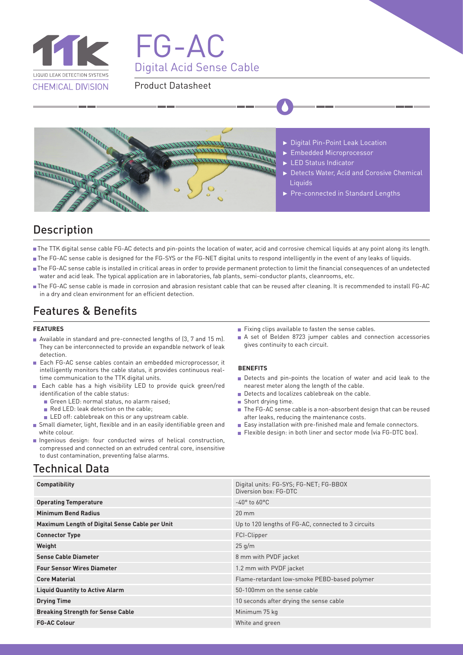

# FG-AC Digital Acid Sense Cable

### Product Datasheet



### Description

- The TTK digital sense cable FG-AC detects and pin-points the location of water, acid and corrosive chemical liquids at any point along its length.
- The FG-AC sense cable is designed for the FG-SYS or the FG-NET digital units to respond intelligently in the event of any leaks of liquids.
- The FG-AC sense cable is installed in critical areas in order to provide permanent protection to limit the financial consequences of an undetected water and acid leak. The typical application are in laboratories, fab plants, semi-conductor plants, cleanrooms, etc.
- The FG-AC sense cable is made in corrosion and abrasion resistant cable that can be reused after cleaning. It is recommended to install FG-AC in a dry and clean environment for an efficient detection.

### Features & Benefits

#### **FEATURES**

- Available in standard and pre-connected lengths of (3, 7 and 15 m). They can be interconnected to provide an expandble network of leak detection.
- Each FG-AC sense cables contain an embedded microprocessor, it intelligently monitors the cable status, it provides continuous realtime communication to the TTK digital units.
- Each cable has a high visibility LED to provide quick green/red identification of the cable status:
	- Green LED: normal status, no alarm raised;
	- Red LED: leak detection on the cable;
	- LED off: cablebreak on this or any upstream cable.
- Small diameter, light, flexible and in an easily identifiable green and white colour.
- Ingenious design: four conducted wires of helical construction, compressed and connected on an extruded central core, insensitive to dust contamination, preventing false alarms.

### Technical Data

- Fixing clips available to fasten the sense cables.
- A set of Belden 8723 jumper cables and connection accessories gives continuity to each circuit.

#### **BENEFITS**

- Detects and pin-points the location of water and acid leak to the nearest meter along the length of the cable.
- Detects and localizes cablebreak on the cable.
- Short drying time.
- The FG-AC sense cable is a non-absorbent design that can be reused after leaks, reducing the maintenance costs.
- Easy installation with pre-finished male and female connectors.
- Flexible design: in both liner and sector mode (via FG-DTC box).

| <b>Compatibility</b>                           | Digital units: FG-SYS; FG-NET; FG-BBOX<br>Diversion box: FG-DTC |
|------------------------------------------------|-----------------------------------------------------------------|
| <b>Operating Temperature</b>                   | $-40^\circ$ to 60 $^{\circ}$ C                                  |
| <b>Minimum Bend Radius</b>                     | $20 \text{ mm}$                                                 |
| Maximum Length of Digital Sense Cable per Unit | Up to 120 lengths of FG-AC, connected to 3 circuits             |
| <b>Connector Type</b>                          | FCI-Clipper                                                     |
| Weight                                         | 25 g/m                                                          |
| <b>Sense Cable Diameter</b>                    | 8 mm with PVDF jacket                                           |
| <b>Four Sensor Wires Diameter</b>              | 1.2 mm with PVDF jacket                                         |
| <b>Core Material</b>                           | Flame-retardant low-smoke PEBD-based polymer                    |
| <b>Liquid Quantity to Active Alarm</b>         | 50-100mm on the sense cable                                     |
| <b>Drying Time</b>                             | 10 seconds after drying the sense cable                         |
| <b>Breaking Strength for Sense Cable</b>       | Minimum 75 kg                                                   |
| <b>FG-AC Colour</b>                            | White and green                                                 |